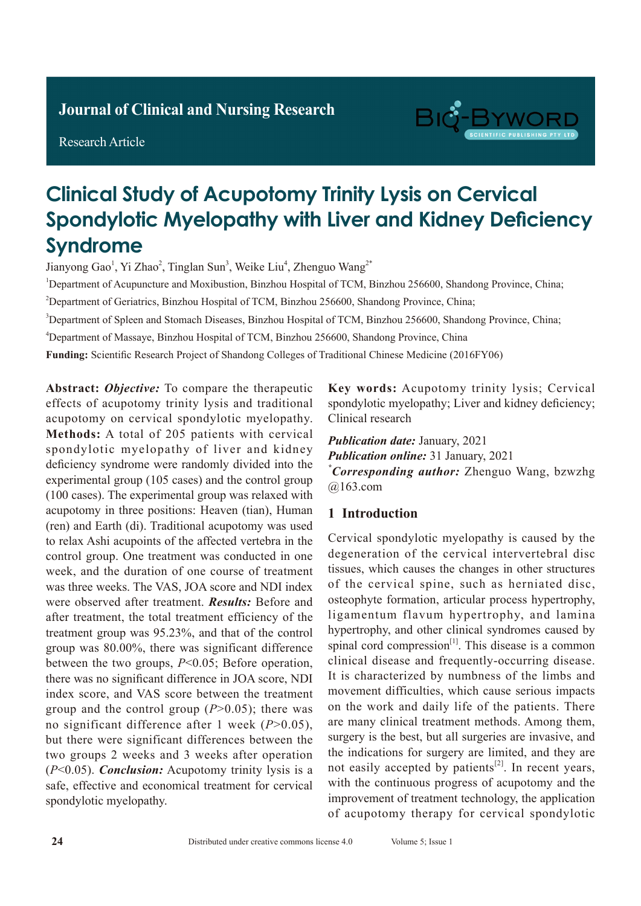# **Journal of Clinical and Nursing Research**

Research Article



# Clinical Study of Acupotomy Trinity Lysis on Cervical Spondylotic Myelopathy with Liver and Kidney Deficiency Syndrome

Jianyong Gao<sup>1</sup>, Yi Zhao<sup>2</sup>, Tinglan Sun<sup>3</sup>, Weike Liu<sup>4</sup>, Zhenguo Wang<sup>2\*</sup>

<sup>1</sup>Department of Acupuncture and Moxibustion, Binzhou Hospital of TCM, Binzhou 256600, Shandong Province, China;

<sup>2</sup>Department of Geriatrics, Binzhou Hospital of TCM, Binzhou 256600, Shandong Province, China;

<sup>3</sup>Department of Spleen and Stomach Diseases, Binzhou Hospital of TCM, Binzhou 256600, Shandong Province, China;

4 Department of Massaye, Binzhou Hospital of TCM, Binzhou 256600, Shandong Province, China

**Funding:** Scientific Research Project of Shandong Colleges of Traditional Chinese Medicine (2016FY06)

**Abstract:** *Objective:* To compare the therapeutic effects of acupotomy trinity lysis and traditional acupotomy on cervical spondylotic myelopathy. **Methods:** A total of 205 patients with cervical spondylotic myelopathy of liver and kidney deficiency syndrome were randomly divided into the experimental group (105 cases) and the control group (100 cases). The experimental group was relaxed with acupotomy in three positions: Heaven (tian), Human (ren) and Earth (di). Traditional acupotomy was used to relax Ashi acupoints of the affected vertebra in the control group. One treatment was conducted in one week, and the duration of one course of treatment was three weeks. The VAS, JOA score and NDI index were observed after treatment. *Results:* Before and after treatment, the total treatment efficiency of the treatment group was 95.23%, and that of the control group was 80.00%, there was significant difference between the two groups, *P*<0.05; Before operation, there was no significant difference in JOA score, NDI index score, and VAS score between the treatment group and the control group (*P*>0.05); there was no significant difference after 1 week (*P*>0.05), but there were significant differences between the two groups 2 weeks and 3 weeks after operation (*P*<0.05). *Conclusion:* Acupotomy trinity lysis is a safe, effective and economical treatment for cervical spondylotic myelopathy.

**Key words:** Acupotomy trinity lysis; Cervical spondylotic myelopathy; Liver and kidney deficiency; Clinical research

*Publication date:* January, 2021 *Publication online:* 31 January, 2021 *\* Corresponding author:* Zhenguo Wang, bzwzhg @163.com

# **1 Introduction**

Cervical spondylotic myelopathy is caused by the degeneration of the cervical intervertebral disc tissues, which causes the changes in other structures of the cervical spine, such as herniated disc, osteophyte formation, articular process hypertrophy, ligamentum flavum hypertrophy, and lamina hypertrophy, and other clinical syndromes caused by spinal cord compression $[1]$ . This disease is a common clinical disease and frequently-occurring disease. It is characterized by numbness of the limbs and movement difficulties, which cause serious impacts on the work and daily life of the patients. There are many clinical treatment methods. Among them, surgery is the best, but all surgeries are invasive, and the indications for surgery are limited, and they are not easily accepted by patients<sup>[2]</sup>. In recent years, with the continuous progress of acupotomy and the improvement of treatment technology, the application of acupotomy therapy for cervical spondylotic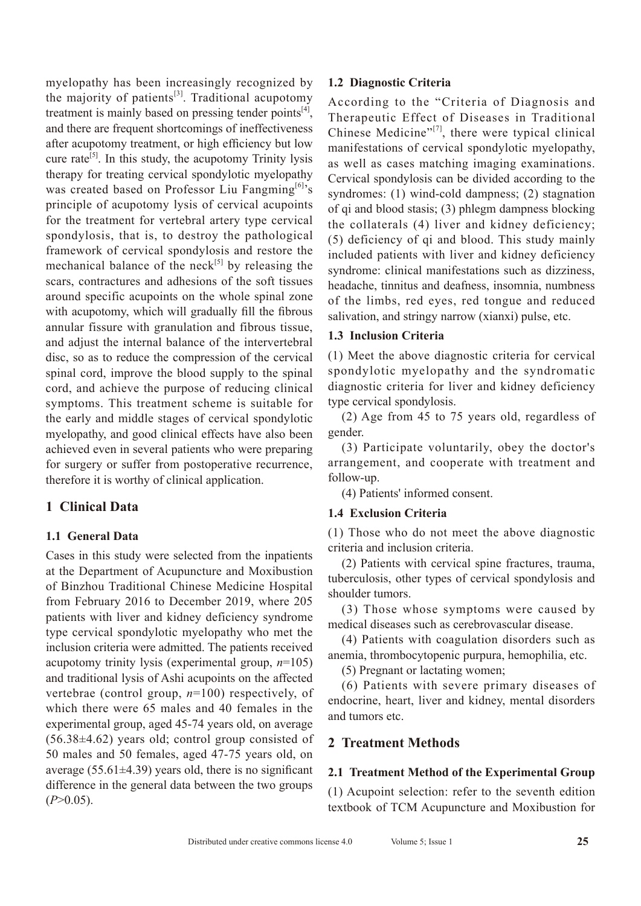myelopathy has been increasingly recognized by the majority of patients<sup>[3]</sup>. Traditional acupotomy treatment is mainly based on pressing tender points $[4]$ , and there are frequent shortcomings of ineffectiveness after acupotomy treatment, or high efficiency but low cure rate<sup>[5]</sup>. In this study, the acupotomy Trinity lysis therapy for treating cervical spondylotic myelopathy was created based on Professor Liu Fangming $[6]$ 's principle of acupotomy lysis of cervical acupoints for the treatment for vertebral artery type cervical spondylosis, that is, to destroy the pathological framework of cervical spondylosis and restore the mechanical balance of the neck<sup>[5]</sup> by releasing the scars, contractures and adhesions of the soft tissues around specific acupoints on the whole spinal zone with acupotomy, which will gradually fill the fibrous annular fissure with granulation and fibrous tissue, and adjust the internal balance of the intervertebral disc, so as to reduce the compression of the cervical spinal cord, improve the blood supply to the spinal cord, and achieve the purpose of reducing clinical symptoms. This treatment scheme is suitable for the early and middle stages of cervical spondylotic myelopathy, and good clinical effects have also been achieved even in several patients who were preparing for surgery or suffer from postoperative recurrence, therefore it is worthy of clinical application.

# **1 Clinical Data**

#### **1.1 General Data**

Cases in this study were selected from the inpatients at the Department of Acupuncture and Moxibustion of Binzhou Traditional Chinese Medicine Hospital from February 2016 to December 2019, where 205 patients with liver and kidney deficiency syndrome type cervical spondylotic myelopathy who met the inclusion criteria were admitted. The patients received acupotomy trinity lysis (experimental group, *n*=105) and traditional lysis of Ashi acupoints on the affected vertebrae (control group, *n*=100) respectively, of which there were 65 males and 40 females in the experimental group, aged 45-74 years old, on average (56.38±4.62) years old; control group consisted of 50 males and 50 females, aged 47-75 years old, on average  $(55.61\pm4.39)$  years old, there is no significant difference in the general data between the two groups  $(P>0.05)$ .

#### **1.2 Diagnostic Criteria**

According to the "Criteria of Diagnosis and Therapeutic Effect of Diseases in Traditional Chinese Medicine"<sup>[7]</sup>, there were typical clinical manifestations of cervical spondylotic myelopathy, as well as cases matching imaging examinations. Cervical spondylosis can be divided according to the syndromes: (1) wind-cold dampness; (2) stagnation of qi and blood stasis; (3) phlegm dampness blocking the collaterals (4) liver and kidney deficiency; (5) deficiency of qi and blood. This study mainly included patients with liver and kidney deficiency syndrome: clinical manifestations such as dizziness, headache, tinnitus and deafness, insomnia, numbness of the limbs, red eyes, red tongue and reduced salivation, and stringy narrow (xianxi) pulse, etc.

#### **1.3 Inclusion Criteria**

(1) Meet the above diagnostic criteria for cervical spondylotic myelopathy and the syndromatic diagnostic criteria for liver and kidney deficiency type cervical spondylosis.

(2) Age from 45 to 75 years old, regardless of gender.

(3) Participate voluntarily, obey the doctor's arrangement, and cooperate with treatment and follow-up.

(4) Patients' informed consent.

#### **1.4 Exclusion Criteria**

(1) Those who do not meet the above diagnostic criteria and inclusion criteria.

(2) Patients with cervical spine fractures, trauma, tuberculosis, other types of cervical spondylosis and shoulder tumors.

(3) Those whose symptoms were caused by medical diseases such as cerebrovascular disease.

(4) Patients with coagulation disorders such as anemia, thrombocytopenic purpura, hemophilia, etc.

(5) Pregnant or lactating women;

(6) Patients with severe primary diseases of endocrine, heart, liver and kidney, mental disorders and tumors etc.

# **2 Treatment Methods**

#### **2.1 Treatment Method of the Experimental Group**

(1) Acupoint selection: refer to the seventh edition textbook of TCM Acupuncture and Moxibustion for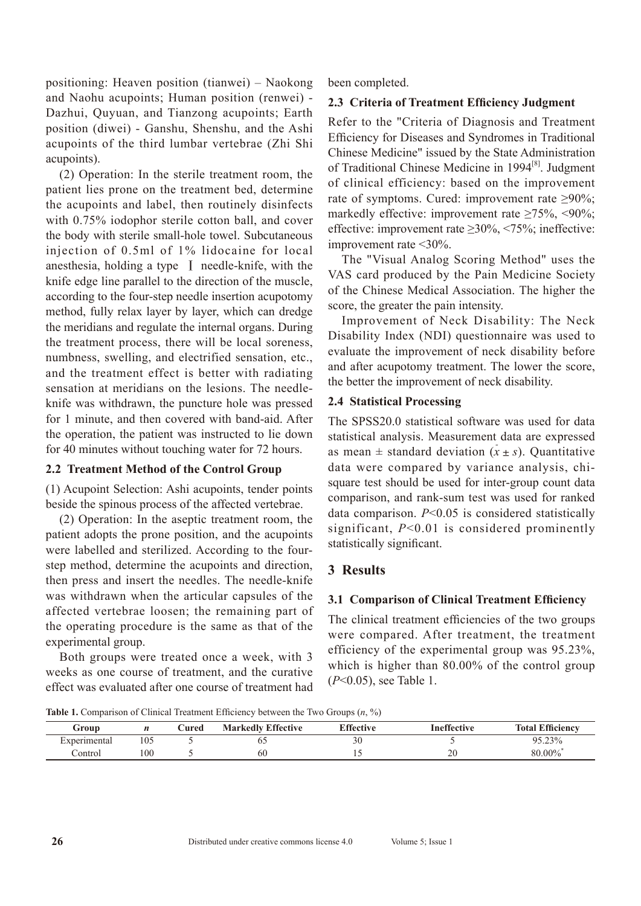positioning: Heaven position (tianwei) – Naokong and Naohu acupoints; Human position (renwei) - Dazhui, Quyuan, and Tianzong acupoints; Earth position (diwei) - Ganshu, Shenshu, and the Ashi acupoints of the third lumbar vertebrae (Zhi Shi acupoints).

(2) Operation: In the sterile treatment room, the patient lies prone on the treatment bed, determine the acupoints and label, then routinely disinfects with 0.75% iodophor sterile cotton ball, and cover the body with sterile small-hole towel. Subcutaneous injection of 0.5ml of 1% lidocaine for local anesthesia, holding a type Ⅰ needle-knife, with the knife edge line parallel to the direction of the muscle, according to the four-step needle insertion acupotomy method, fully relax layer by layer, which can dredge the meridians and regulate the internal organs. During the treatment process, there will be local soreness, numbness, swelling, and electrified sensation, etc., and the treatment effect is better with radiating sensation at meridians on the lesions. The needleknife was withdrawn, the puncture hole was pressed for 1 minute, and then covered with band-aid. After the operation, the patient was instructed to lie down for 40 minutes without touching water for 72 hours.

#### **2.2 Treatment Method of the Control Group**

(1) Acupoint Selection: Ashi acupoints, tender points beside the spinous process of the affected vertebrae.

(2) Operation: In the aseptic treatment room, the patient adopts the prone position, and the acupoints were labelled and sterilized. According to the fourstep method, determine the acupoints and direction, then press and insert the needles. The needle-knife was withdrawn when the articular capsules of the affected vertebrae loosen; the remaining part of the operating procedure is the same as that of the experimental group.

Both groups were treated once a week, with 3 weeks as one course of treatment, and the curative effect was evaluated after one course of treatment had been completed.

#### **2.3 Criteria of Treatment Efficiency Judgment**

Refer to the "Criteria of Diagnosis and Treatment Efficiency for Diseases and Syndromes in Traditional Chinese Medicine" issued by the State Administration of Traditional Chinese Medicine in 1994<sup>[8]</sup>. Judgment of clinical efficiency: based on the improvement rate of symptoms. Cured: improvement rate ≥90%; markedly effective: improvement rate  $\geq 75\%$ , <90%; effective: improvement rate  $\geq$ 30%, <75%; ineffective: improvement rate <30%.

The "Visual Analog Scoring Method" uses the VAS card produced by the Pain Medicine Society of the Chinese Medical Association. The higher the score, the greater the pain intensity.

Improvement of Neck Disability: The Neck Disability Index (NDI) questionnaire was used to evaluate the improvement of neck disability before and after acupotomy treatment. The lower the score, the better the improvement of neck disability.

#### **2.4 Statistical Processing**

The SPSS20.0 statistical software was used for data statistical analysis. Measurement data are expressed as mean  $\pm$  standard deviation  $(x \pm s)$ . Quantitative data were compared by variance analysis, chisquare test should be used for inter-group count data comparison, and rank-sum test was used for ranked data comparison. *P*<0.05 is considered statistically significant, *P*<0.01 is considered prominently statistically significant.

# **3 Results**

# **3.1 Comparison of Clinical Treatment Efficiency**

The clinical treatment efficiencies of the two groups were compared. After treatment, the treatment efficiency of the experimental group was 95.23%, which is higher than 80.00% of the control group (*P*<0.05), see Table 1.

**Table 1.** Comparison of Clinical Treatment Efficiency between the Two Groups (*n*, %)

| __           |     |       |                           |                   |             |                         |
|--------------|-----|-------|---------------------------|-------------------|-------------|-------------------------|
| Grour        |     | \ured | <b>Markedly Effective</b> | $\Gamma$ ffective | Ineffective | <b>Total Efficiency</b> |
| Experimental | 105 |       | O.                        | 30                |             | $5.23\%$                |
| ∠ontrol      | 100 |       | 60                        | . .               | ∠∪          | $0.00\%$<br>80          |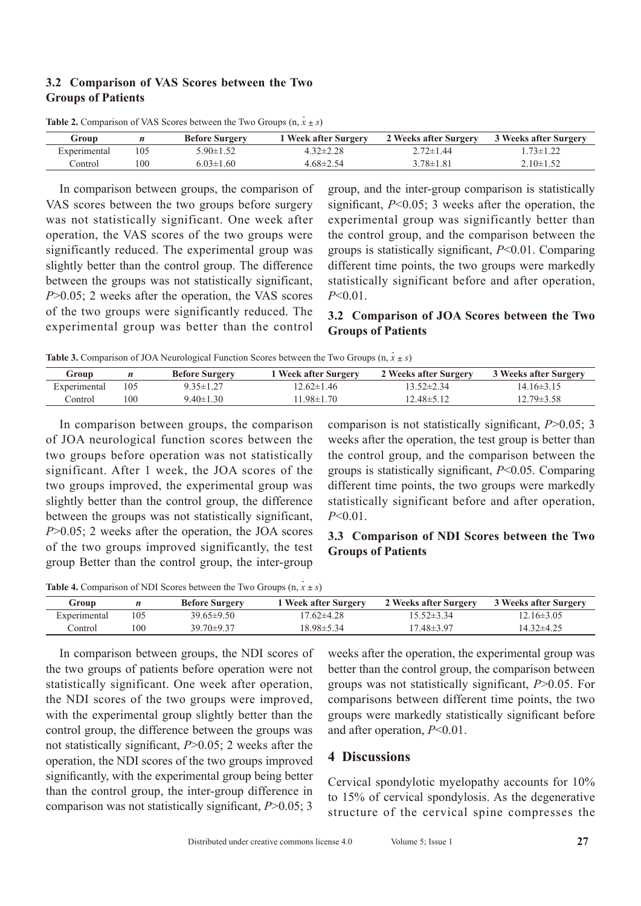#### **3.2 Comparison of VAS Scores between the Two Groups of Patients**

| Group        |     | <b>Before Surgery</b> | 1 Week after Surgery | 2 Weeks after Surgery | 3 Weeks after Surgery |
|--------------|-----|-----------------------|----------------------|-----------------------|-----------------------|
| Experimental | 105 | 5.90±1.52             | $4.32 \pm 2.28$      | $2.72 \pm 1.44$       | $1.73 \pm 1.22$       |
| Control      | 100 | $6.03 \pm 1.60$       | $4.68\pm2.54$        | $3.78 \pm 1.81$       | $2.10 \pm 1.52$       |

**Table 2.** Comparison of VAS Scores between the Two Groups  $(n, \bar{x} \pm s)$ 

In comparison between groups, the comparison of VAS scores between the two groups before surgery was not statistically significant. One week after operation, the VAS scores of the two groups were significantly reduced. The experimental group was slightly better than the control group. The difference between the groups was not statistically significant, *P*>0.05; 2 weeks after the operation, the VAS scores of the two groups were significantly reduced. The experimental group was better than the control

group, and the inter-group comparison is statistically significant, *P*<0.05; 3 weeks after the operation, the experimental group was significantly better than the control group, and the comparison between the groups is statistically significant, *P*<0.01. Comparing different time points, the two groups were markedly statistically significant before and after operation, *P*<0.01.

#### **3.2 Comparison of JOA Scores between the Two Groups of Patients**

**Table 3.** Comparison of JOA Neurological Function Scores between the Two Groups  $(n, \bar{x} \pm s)$ 

| Group        |     | <b>Before Surgery</b> | 1 Week after Surgery | 2 Weeks after Surgery | 3 Weeks after Surgery |
|--------------|-----|-----------------------|----------------------|-----------------------|-----------------------|
| Experimental | 105 | $9.35 \pm 1.27$       | 12.62±1.46           | $13.52 \pm 2.34$      | 14.16±3.15            |
| Control      | 100 | $9.40 \pm 1.30$       | 11.98±1.70           | $12.48 \pm 5.12$      | $12.79 \pm 3.58$      |

In comparison between groups, the comparison of JOA neurological function scores between the two groups before operation was not statistically significant. After 1 week, the JOA scores of the two groups improved, the experimental group was slightly better than the control group, the difference between the groups was not statistically significant, *P*>0.05; 2 weeks after the operation, the JOA scores of the two groups improved significantly, the test group Better than the control group, the inter-group comparison is not statistically significant, *P*>0.05; 3 weeks after the operation, the test group is better than the control group, and the comparison between the groups is statistically significant, *P*<0.05. Comparing different time points, the two groups were markedly statistically significant before and after operation, *P*<0.01.

#### **3.3 Comparison of NDI Scores between the Two Groups of Patients**

**Table 4.** Comparison of NDI Scores between the Two Groups  $(n, \bar{x} \pm s)$ 

| Group        |     | <b>Before Surgery</b> | 1 Week after Surgery | 2 Weeks after Surgery | 3 Weeks after Surgery |
|--------------|-----|-----------------------|----------------------|-----------------------|-----------------------|
| Experimental |     | $39.65 \pm 9.50$      | 17.62±4.28           | $15.52\pm3.34$        | $12.16 \pm 3.05$      |
| Control      | 100 | $39.70\pm9.37$        | 18.98±5.34           | 17.48±3.97            | $14.32\pm4.25$        |

In comparison between groups, the NDI scores of the two groups of patients before operation were not statistically significant. One week after operation, the NDI scores of the two groups were improved, with the experimental group slightly better than the control group, the difference between the groups was not statistically significant, *P*>0.05; 2 weeks after the operation, the NDI scores of the two groups improved significantly, with the experimental group being better than the control group, the inter-group difference in comparison was not statistically significant, *P*>0.05; 3

weeks after the operation, the experimental group was better than the control group, the comparison between groups was not statistically significant, *P*>0.05. For comparisons between different time points, the two groups were markedly statistically significant before and after operation, *P*<0.01.

# **4 Discussions**

Cervical spondylotic myelopathy accounts for 10% to 15% of cervical spondylosis. As the degenerative structure of the cervical spine compresses the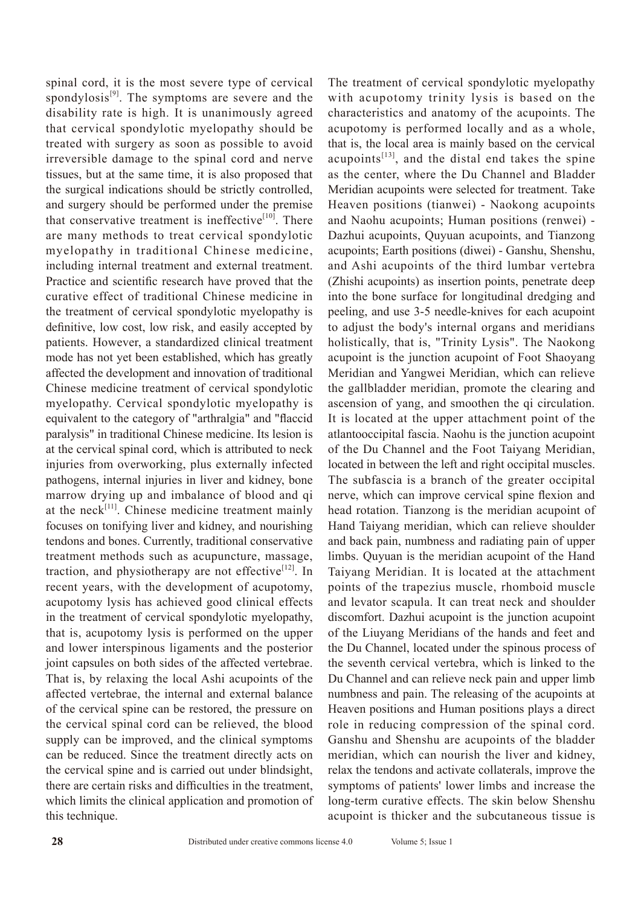spinal cord, it is the most severe type of cervical spondylosis $[9]$ . The symptoms are severe and the disability rate is high. It is unanimously agreed that cervical spondylotic myelopathy should be treated with surgery as soon as possible to avoid irreversible damage to the spinal cord and nerve tissues, but at the same time, it is also proposed that the surgical indications should be strictly controlled, and surgery should be performed under the premise that conservative treatment is ineffective<sup>[10]</sup>. There are many methods to treat cervical spondylotic myelopathy in traditional Chinese medicine, including internal treatment and external treatment. Practice and scientific research have proved that the curative effect of traditional Chinese medicine in the treatment of cervical spondylotic myelopathy is definitive, low cost, low risk, and easily accepted by patients. However, a standardized clinical treatment mode has not yet been established, which has greatly affected the development and innovation of traditional Chinese medicine treatment of cervical spondylotic myelopathy. Cervical spondylotic myelopathy is equivalent to the category of "arthralgia" and "flaccid paralysis" in traditional Chinese medicine. Its lesion is at the cervical spinal cord, which is attributed to neck injuries from overworking, plus externally infected pathogens, internal injuries in liver and kidney, bone marrow drying up and imbalance of blood and qi at the neck<sup>[11]</sup>. Chinese medicine treatment mainly focuses on tonifying liver and kidney, and nourishing tendons and bones. Currently, traditional conservative treatment methods such as acupuncture, massage, traction, and physiotherapy are not effective $[12]$ . In recent years, with the development of acupotomy, acupotomy lysis has achieved good clinical effects in the treatment of cervical spondylotic myelopathy, that is, acupotomy lysis is performed on the upper and lower interspinous ligaments and the posterior joint capsules on both sides of the affected vertebrae. That is, by relaxing the local Ashi acupoints of the affected vertebrae, the internal and external balance of the cervical spine can be restored, the pressure on the cervical spinal cord can be relieved, the blood supply can be improved, and the clinical symptoms can be reduced. Since the treatment directly acts on the cervical spine and is carried out under blindsight, there are certain risks and difficulties in the treatment, which limits the clinical application and promotion of this technique.

The treatment of cervical spondylotic myelopathy with acupotomy trinity lysis is based on the characteristics and anatomy of the acupoints. The acupotomy is performed locally and as a whole, that is, the local area is mainly based on the cervical acupoints $^{[13]}$ , and the distal end takes the spine as the center, where the Du Channel and Bladder Meridian acupoints were selected for treatment. Take Heaven positions (tianwei) - Naokong acupoints and Naohu acupoints; Human positions (renwei) - Dazhui acupoints, Quyuan acupoints, and Tianzong acupoints; Earth positions (diwei) - Ganshu, Shenshu, and Ashi acupoints of the third lumbar vertebra (Zhishi acupoints) as insertion points, penetrate deep into the bone surface for longitudinal dredging and peeling, and use 3-5 needle-knives for each acupoint to adjust the body's internal organs and meridians holistically, that is, "Trinity Lysis". The Naokong acupoint is the junction acupoint of Foot Shaoyang Meridian and Yangwei Meridian, which can relieve the gallbladder meridian, promote the clearing and ascension of yang, and smoothen the qi circulation. It is located at the upper attachment point of the atlantooccipital fascia. Naohu is the junction acupoint of the Du Channel and the Foot Taiyang Meridian, located in between the left and right occipital muscles. The subfascia is a branch of the greater occipital nerve, which can improve cervical spine flexion and head rotation. Tianzong is the meridian acupoint of Hand Taiyang meridian, which can relieve shoulder and back pain, numbness and radiating pain of upper limbs. Quyuan is the meridian acupoint of the Hand Taiyang Meridian. It is located at the attachment points of the trapezius muscle, rhomboid muscle and levator scapula. It can treat neck and shoulder discomfort. Dazhui acupoint is the junction acupoint of the Liuyang Meridians of the hands and feet and the Du Channel, located under the spinous process of the seventh cervical vertebra, which is linked to the Du Channel and can relieve neck pain and upper limb numbness and pain. The releasing of the acupoints at Heaven positions and Human positions plays a direct role in reducing compression of the spinal cord. Ganshu and Shenshu are acupoints of the bladder meridian, which can nourish the liver and kidney, relax the tendons and activate collaterals, improve the symptoms of patients' lower limbs and increase the long-term curative effects. The skin below Shenshu acupoint is thicker and the subcutaneous tissue is